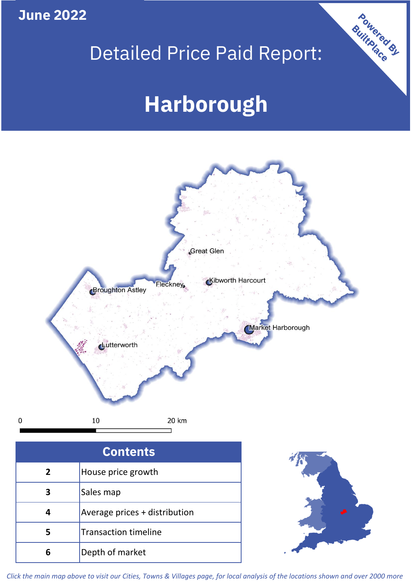**June 2022**

## Detailed Price Paid Report:

# **Harborough**



| <b>Contents</b> |                               |  |  |
|-----------------|-------------------------------|--|--|
| 2               | House price growth            |  |  |
| 3               | Sales map                     |  |  |
|                 | Average prices + distribution |  |  |
| 5               | <b>Transaction timeline</b>   |  |  |
|                 | Depth of market               |  |  |



Powered By

*Click the main map above to visit our Cities, Towns & Villages page, for local analysis of the locations shown and over 2000 more*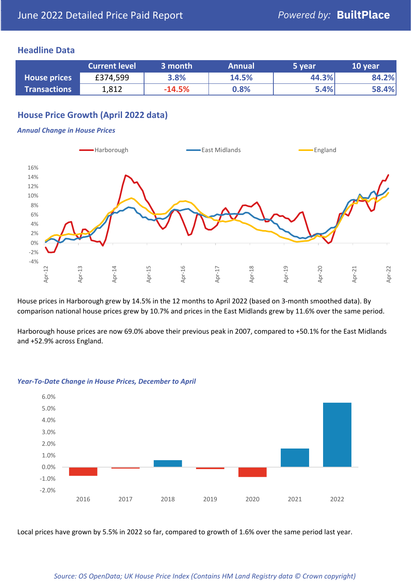#### **Headline Data**

|                     | <b>Current level</b> | 3 month  | <b>Annual</b> | 5 year | 10 year |
|---------------------|----------------------|----------|---------------|--------|---------|
| <b>House prices</b> | £374,599             | 3.8%     | 14.5%         | 44.3%  | 84.2%   |
| <b>Transactions</b> | 1,812                | $-14.5%$ | 0.8%          | 5.4%   | 58.4%   |

#### **House Price Growth (April 2022 data)**

#### *Annual Change in House Prices*



House prices in Harborough grew by 14.5% in the 12 months to April 2022 (based on 3-month smoothed data). By comparison national house prices grew by 10.7% and prices in the East Midlands grew by 11.6% over the same period.

Harborough house prices are now 69.0% above their previous peak in 2007, compared to +50.1% for the East Midlands and +52.9% across England.



#### *Year-To-Date Change in House Prices, December to April*

Local prices have grown by 5.5% in 2022 so far, compared to growth of 1.6% over the same period last year.

#### *Source: OS OpenData; UK House Price Index (Contains HM Land Registry data © Crown copyright)*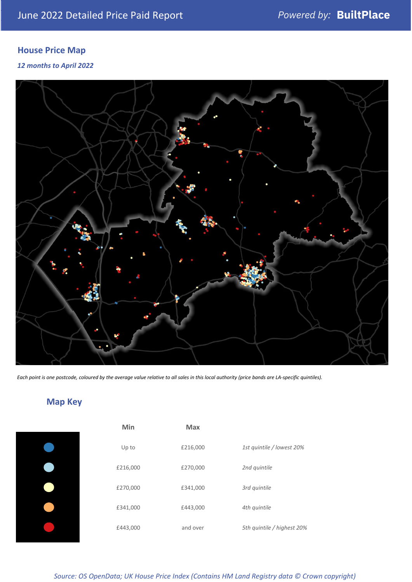### **House Price Map**

#### *12 months to April 2022*



*Each point is one postcode, coloured by the average value relative to all sales in this local authority (price bands are LA-specific quintiles).*

### **Map Key**

| Min      | <b>Max</b> |              |
|----------|------------|--------------|
| Up to    | £216,000   | 1st quintile |
| £216,000 | £270,000   | 2nd quintile |
| £270,000 | £341,000   | 3rd quintile |
| £341,000 | £443,000   | 4th quintile |
| £443,000 | and over   | 5th quintile |
|          |            |              |

*Source: OS OpenData; UK House Price Index (Contains HM Land Registry data © Crown copyright)*

0% Up to £216,000 *1st quintile / lowest 20%*

5th quintile / highest 20%

2nd quintile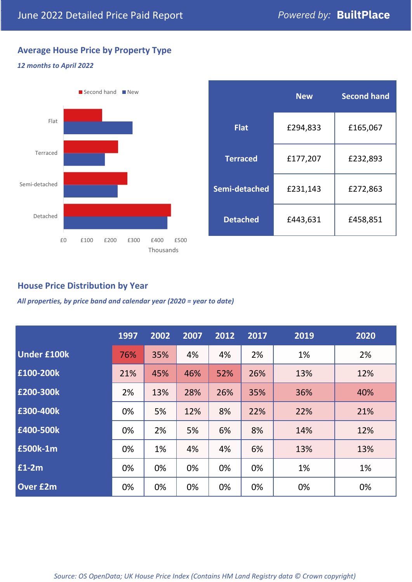### **Average House Price by Property Type**

#### *12 months to April 2022*



|                 | <b>New</b> | <b>Second hand</b> |  |  |
|-----------------|------------|--------------------|--|--|
| <b>Flat</b>     | £294,833   | £165,067           |  |  |
| <b>Terraced</b> | £177,207   | £232,893           |  |  |
| Semi-detached   | £231,143   | £272,863           |  |  |
| <b>Detached</b> | £443,631   | £458,851           |  |  |

#### **House Price Distribution by Year**

*All properties, by price band and calendar year (2020 = year to date)*

|                    | 1997 | 2002 | 2007 | 2012 | 2017 | 2019 | 2020 |
|--------------------|------|------|------|------|------|------|------|
| <b>Under £100k</b> | 76%  | 35%  | 4%   | 4%   | 2%   | 1%   | 2%   |
| £100-200k          | 21%  | 45%  | 46%  | 52%  | 26%  | 13%  | 12%  |
| E200-300k          | 2%   | 13%  | 28%  | 26%  | 35%  | 36%  | 40%  |
| £300-400k          | 0%   | 5%   | 12%  | 8%   | 22%  | 22%  | 21%  |
| £400-500k          | 0%   | 2%   | 5%   | 6%   | 8%   | 14%  | 12%  |
| <b>£500k-1m</b>    | 0%   | 1%   | 4%   | 4%   | 6%   | 13%  | 13%  |
| £1-2m              | 0%   | 0%   | 0%   | 0%   | 0%   | 1%   | 1%   |
| <b>Over £2m</b>    | 0%   | 0%   | 0%   | 0%   | 0%   | 0%   | 0%   |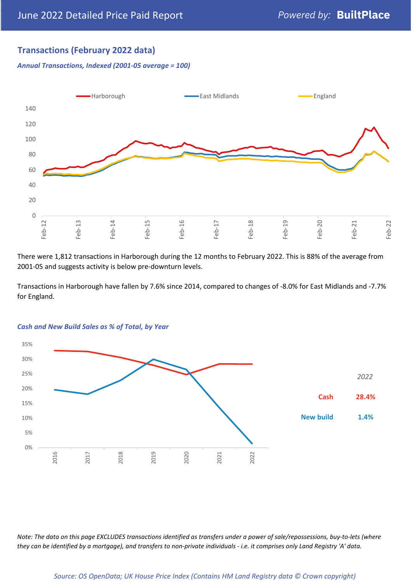#### **Transactions (February 2022 data)**

*Annual Transactions, Indexed (2001-05 average = 100)*



There were 1,812 transactions in Harborough during the 12 months to February 2022. This is 88% of the average from 2001-05 and suggests activity is below pre-downturn levels.

Transactions in Harborough have fallen by 7.6% since 2014, compared to changes of -8.0% for East Midlands and -7.7% for England.



#### *Cash and New Build Sales as % of Total, by Year*

*Note: The data on this page EXCLUDES transactions identified as transfers under a power of sale/repossessions, buy-to-lets (where they can be identified by a mortgage), and transfers to non-private individuals - i.e. it comprises only Land Registry 'A' data.*